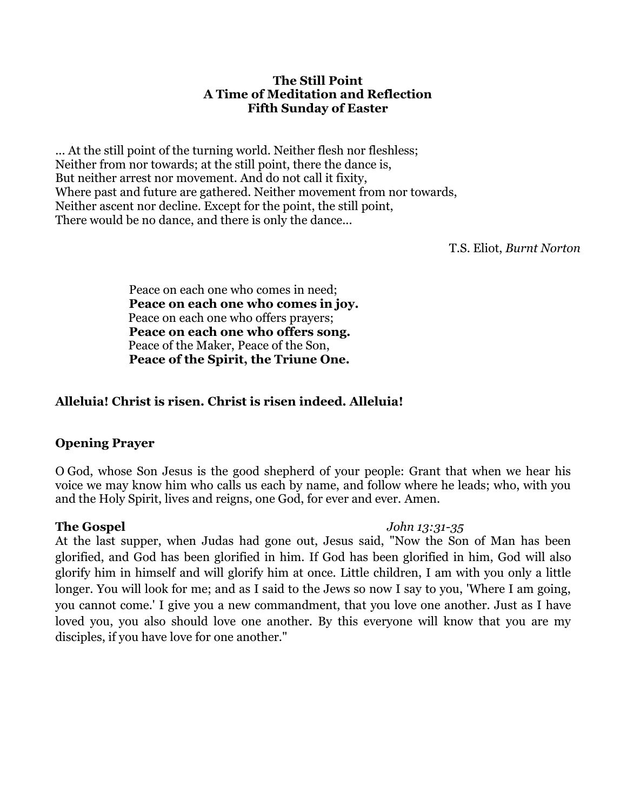### **The Still Point A Time of Meditation and Reflection Fifth Sunday of Easter**

... At the still point of the turning world. Neither flesh nor fleshless; Neither from nor towards; at the still point, there the dance is, But neither arrest nor movement. And do not call it fixity, Where past and future are gathered. Neither movement from nor towards, Neither ascent nor decline. Except for the point, the still point, There would be no dance, and there is only the dance...

T.S. Eliot, *Burnt Norton*

Peace on each one who comes in need; **Peace on each one who comes in joy.**  Peace on each one who offers prayers; **Peace on each one who offers song.** Peace of the Maker, Peace of the Son, **Peace of the Spirit, the Triune One.** 

# **Alleluia! Christ is risen. Christ is risen indeed. Alleluia!**

## **Opening Prayer**

O God, whose Son Jesus is the good shepherd of your people: Grant that when we hear his voice we may know him who calls us each by name, and follow where he leads; who, with you and the Holy Spirit, lives and reigns, one God, for ever and ever. Amen.

### **The Gospel** *John 13:31-35*

At the last supper, when Judas had gone out, Jesus said, "Now the Son of Man has been glorified, and God has been glorified in him. If God has been glorified in him, God will also glorify him in himself and will glorify him at once. Little children, I am with you only a little longer. You will look for me; and as I said to the Jews so now I say to you, 'Where I am going, you cannot come.' I give you a new commandment, that you love one another. Just as I have loved you, you also should love one another. By this everyone will know that you are my disciples, if you have love for one another."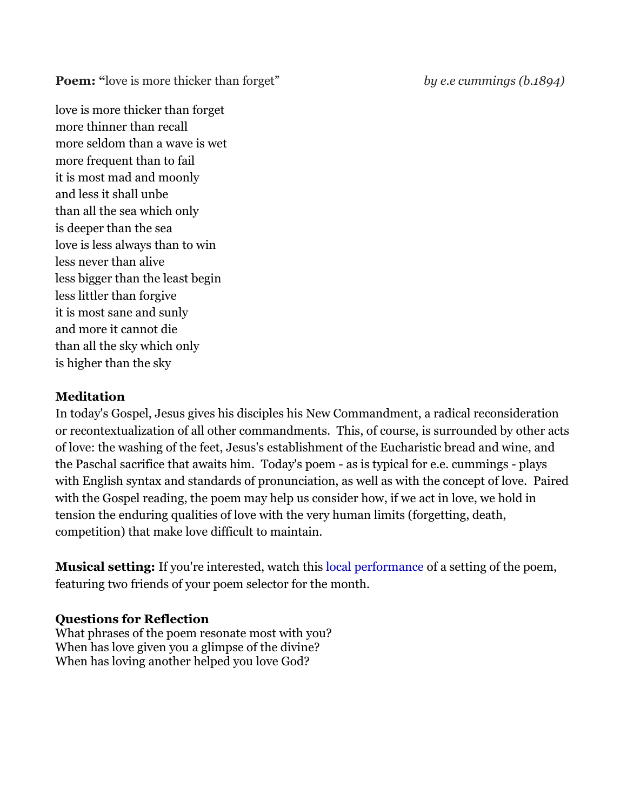**Poem:** "love is more thicker than forget" *by e.e cummings (b.1894)* 

love is more thicker than forget more thinner than recall more seldom than a wave is wet more frequent than to fail it is most mad and moonly and less it shall unbe than all the sea which only is deeper than the sea love is less always than to win less never than alive less bigger than the least begin less littler than forgive it is most sane and sunly and more it cannot die than all the sky which only is higher than the sky

# **Meditation**

In today's Gospel, Jesus gives his disciples his New Commandment, a radical reconsideration or recontextualization of all other commandments. This, of course, is surrounded by other acts of love: the washing of the feet, Jesus's establishment of the Eucharistic bread and wine, and the Paschal sacrifice that awaits him. Today's poem - as is typical for e.e. cummings - plays with English syntax and standards of pronunciation, as well as with the concept of love. Paired with the Gospel reading, the poem may help us consider how, if we act in love, we hold in tension the enduring qualities of love with the very human limits (forgetting, death, competition) that make love difficult to maintain.

**Musical setting:** If you're interested, watch this [local performance](https://youtu.be/YBGTwpvxfd0) of a setting of the poem, featuring two friends of your poem selector for the month.

# **Questions for Reflection**

What phrases of the poem resonate most with you? When has love given you a glimpse of the divine? When has loving another helped you love God?